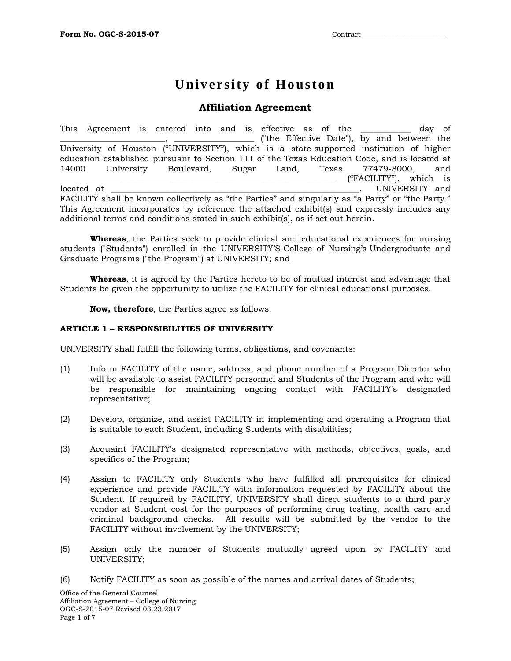# **University of Houston**

## **Affiliation Agreement**

This Agreement is entered into and is effective as of the \_\_\_\_\_\_\_\_\_\_\_\_ day of \_\_\_\_\_\_\_\_\_\_\_\_\_\_\_\_\_\_\_\_\_\_\_\_\_, \_\_\_\_\_\_\_\_\_\_\_\_\_\_\_\_\_\_\_ ("the Effective Date"), by and between the University of Houston ("UNIVERSITY"), which is a state-supported institution of higher education established pursuant to Section 111 of the Texas Education Code, and is located at 14000 University Boulevard, Sugar Land, Texas 77479-8000, and \_\_\_\_\_\_\_\_\_\_\_\_\_\_\_\_\_\_\_\_\_\_\_\_\_\_\_\_\_\_\_\_\_\_\_\_\_\_\_\_\_\_\_\_\_\_\_\_\_\_\_\_\_\_\_\_\_\_\_\_\_\_\_\_\_\_ ("FACILITY"), which is located at  $\blacksquare$ FACILITY shall be known collectively as "the Parties" and singularly as "a Party" or "the Party." This Agreement incorporates by reference the attached exhibit(s) and expressly includes any additional terms and conditions stated in such exhibit(s), as if set out herein.

**Whereas**, the Parties seek to provide clinical and educational experiences for nursing students ("Students") enrolled in the UNIVERSITY'S College of Nursing's Undergraduate and Graduate Programs ("the Program") at UNIVERSITY; and

**Whereas**, it is agreed by the Parties hereto to be of mutual interest and advantage that Students be given the opportunity to utilize the FACILITY for clinical educational purposes.

**Now, therefore**, the Parties agree as follows:

#### **ARTICLE 1 – RESPONSIBILITIES OF UNIVERSITY**

UNIVERSITY shall fulfill the following terms, obligations, and covenants:

- (1) Inform FACILITY of the name, address, and phone number of a Program Director who will be available to assist FACILITY personnel and Students of the Program and who will be responsible for maintaining ongoing contact with FACILITY's designated representative;
- (2) Develop, organize, and assist FACILITY in implementing and operating a Program that is suitable to each Student, including Students with disabilities;
- (3) Acquaint FACILITY's designated representative with methods, objectives, goals, and specifics of the Program;
- (4) Assign to FACILITY only Students who have fulfilled all prerequisites for clinical experience and provide FACILITY with information requested by FACILITY about the Student. If required by FACILITY, UNIVERSITY shall direct students to a third party vendor at Student cost for the purposes of performing drug testing, health care and criminal background checks. All results will be submitted by the vendor to the FACILITY without involvement by the UNIVERSITY;
- (5) Assign only the number of Students mutually agreed upon by FACILITY and UNIVERSITY;
- (6) Notify FACILITY as soon as possible of the names and arrival dates of Students;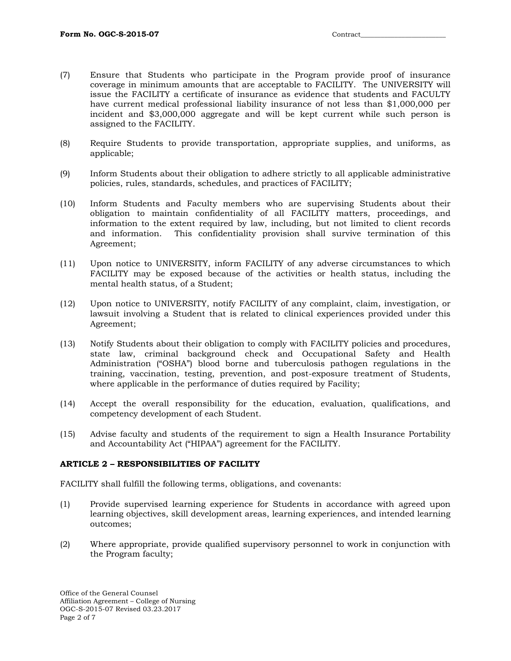- (7) Ensure that Students who participate in the Program provide proof of insurance coverage in minimum amounts that are acceptable to FACILITY. The UNIVERSITY will issue the FACILITY a certificate of insurance as evidence that students and FACULTY have current medical professional liability insurance of not less than \$1,000,000 per incident and \$3,000,000 aggregate and will be kept current while such person is assigned to the FACILITY.
- (8) Require Students to provide transportation, appropriate supplies, and uniforms, as applicable;
- (9) Inform Students about their obligation to adhere strictly to all applicable administrative policies, rules, standards, schedules, and practices of FACILITY;
- (10) Inform Students and Faculty members who are supervising Students about their obligation to maintain confidentiality of all FACILITY matters, proceedings, and information to the extent required by law, including, but not limited to client records and information. This confidentiality provision shall survive termination of this Agreement;
- (11) Upon notice to UNIVERSITY, inform FACILITY of any adverse circumstances to which FACILITY may be exposed because of the activities or health status, including the mental health status, of a Student;
- (12) Upon notice to UNIVERSITY, notify FACILITY of any complaint, claim, investigation, or lawsuit involving a Student that is related to clinical experiences provided under this Agreement;
- (13) Notify Students about their obligation to comply with FACILITY policies and procedures, state law, criminal background check and Occupational Safety and Health Administration ("OSHA") blood borne and tuberculosis pathogen regulations in the training, vaccination, testing, prevention, and post-exposure treatment of Students, where applicable in the performance of duties required by Facility;
- (14) Accept the overall responsibility for the education, evaluation, qualifications, and competency development of each Student.
- (15) Advise faculty and students of the requirement to sign a Health Insurance Portability and Accountability Act ("HIPAA") agreement for the FACILITY.

#### **ARTICLE 2 – RESPONSIBILITIES OF FACILITY**

FACILITY shall fulfill the following terms, obligations, and covenants:

- (1) Provide supervised learning experience for Students in accordance with agreed upon learning objectives, skill development areas, learning experiences, and intended learning outcomes;
- (2) Where appropriate, provide qualified supervisory personnel to work in conjunction with the Program faculty;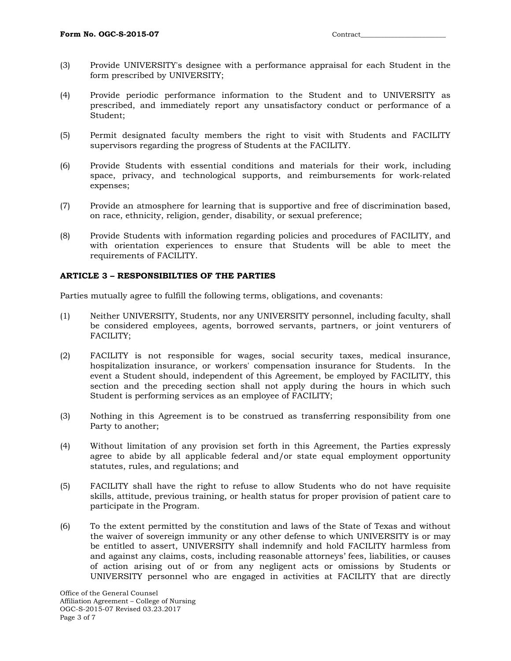- (3) Provide UNIVERSITY's designee with a performance appraisal for each Student in the form prescribed by UNIVERSITY;
- (4) Provide periodic performance information to the Student and to UNIVERSITY as prescribed, and immediately report any unsatisfactory conduct or performance of a Student;
- (5) Permit designated faculty members the right to visit with Students and FACILITY supervisors regarding the progress of Students at the FACILITY.
- (6) Provide Students with essential conditions and materials for their work, including space, privacy, and technological supports, and reimbursements for work-related expenses;
- (7) Provide an atmosphere for learning that is supportive and free of discrimination based, on race, ethnicity, religion, gender, disability, or sexual preference;
- (8) Provide Students with information regarding policies and procedures of FACILITY, and with orientation experiences to ensure that Students will be able to meet the requirements of FACILITY.

#### **ARTICLE 3 – RESPONSIBILTIES OF THE PARTIES**

Parties mutually agree to fulfill the following terms, obligations, and covenants:

- (1) Neither UNIVERSITY, Students, nor any UNIVERSITY personnel, including faculty, shall be considered employees, agents, borrowed servants, partners, or joint venturers of FACILITY;
- (2) FACILITY is not responsible for wages, social security taxes, medical insurance, hospitalization insurance, or workers' compensation insurance for Students. In the event a Student should, independent of this Agreement, be employed by FACILITY, this section and the preceding section shall not apply during the hours in which such Student is performing services as an employee of FACILITY;
- (3) Nothing in this Agreement is to be construed as transferring responsibility from one Party to another;
- (4) Without limitation of any provision set forth in this Agreement, the Parties expressly agree to abide by all applicable federal and/or state equal employment opportunity statutes, rules, and regulations; and
- (5) FACILITY shall have the right to refuse to allow Students who do not have requisite skills, attitude, previous training, or health status for proper provision of patient care to participate in the Program.
- (6) To the extent permitted by the constitution and laws of the State of Texas and without the waiver of sovereign immunity or any other defense to which UNIVERSITY is or may be entitled to assert, UNIVERSITY shall indemnify and hold FACILITY harmless from and against any claims, costs, including reasonable attorneys' fees, liabilities, or causes of action arising out of or from any negligent acts or omissions by Students or UNIVERSITY personnel who are engaged in activities at FACILITY that are directly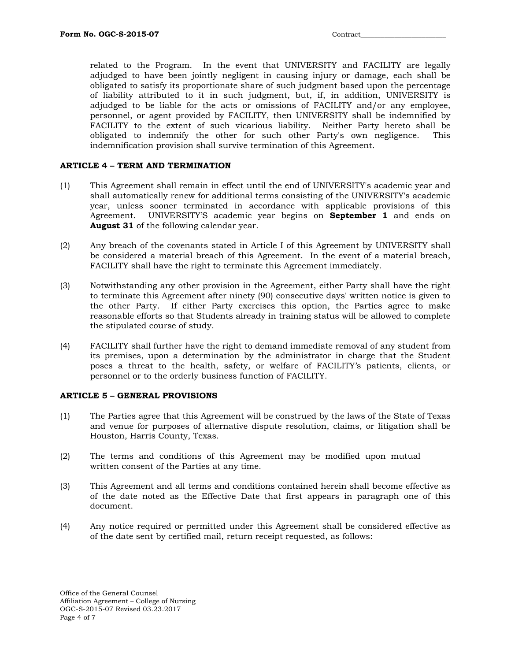related to the Program. In the event that UNIVERSITY and FACILITY are legally adjudged to have been jointly negligent in causing injury or damage, each shall be obligated to satisfy its proportionate share of such judgment based upon the percentage of liability attributed to it in such judgment, but, if, in addition, UNIVERSITY is adjudged to be liable for the acts or omissions of FACILITY and/or any employee, personnel, or agent provided by FACILITY, then UNIVERSITY shall be indemnified by FACILITY to the extent of such vicarious liability. Neither Party hereto shall be obligated to indemnify the other for such other Party's own negligence. This indemnification provision shall survive termination of this Agreement.

### **ARTICLE 4 – TERM AND TERMINATION**

- (1) This Agreement shall remain in effect until the end of UNIVERSITY's academic year and shall automatically renew for additional terms consisting of the UNIVERSITY's academic year, unless sooner terminated in accordance with applicable provisions of this Agreement. UNIVERSITY'S academic year begins on **September 1** and ends on **August 31** of the following calendar year.
- (2) Any breach of the covenants stated in Article I of this Agreement by UNIVERSITY shall be considered a material breach of this Agreement. In the event of a material breach, FACILITY shall have the right to terminate this Agreement immediately.
- (3) Notwithstanding any other provision in the Agreement, either Party shall have the right to terminate this Agreement after ninety (90) consecutive days' written notice is given to the other Party. If either Party exercises this option, the Parties agree to make reasonable efforts so that Students already in training status will be allowed to complete the stipulated course of study.
- (4) FACILITY shall further have the right to demand immediate removal of any student from its premises, upon a determination by the administrator in charge that the Student poses a threat to the health, safety, or welfare of FACILITY's patients, clients, or personnel or to the orderly business function of FACILITY.

#### **ARTICLE 5 – GENERAL PROVISIONS**

- (1) The Parties agree that this Agreement will be construed by the laws of the State of Texas and venue for purposes of alternative dispute resolution, claims, or litigation shall be Houston, Harris County, Texas.
- (2) The terms and conditions of this Agreement may be modified upon mutual written consent of the Parties at any time.
- (3) This Agreement and all terms and conditions contained herein shall become effective as of the date noted as the Effective Date that first appears in paragraph one of this document.
- (4) Any notice required or permitted under this Agreement shall be considered effective as of the date sent by certified mail, return receipt requested, as follows: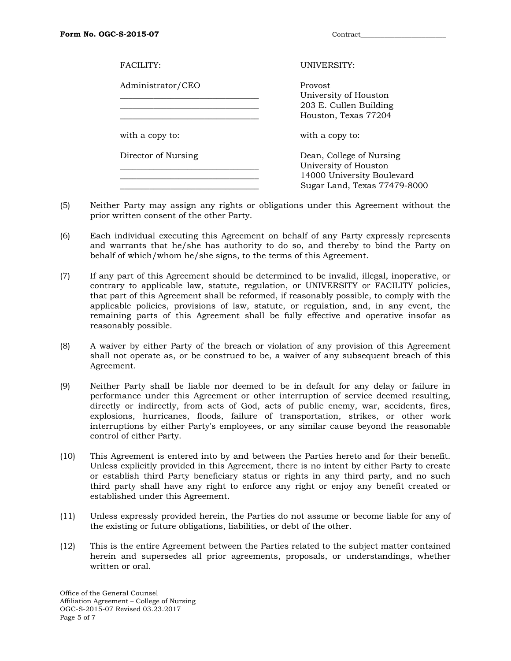| FACTJTY:            | UNIVERSITY:                                                                                                     |
|---------------------|-----------------------------------------------------------------------------------------------------------------|
| Administrator/CEO   | Provost<br>University of Houston<br>203 E. Cullen Building<br>Houston, Texas 77204                              |
| with a copy to:     | with a copy to:                                                                                                 |
| Director of Nursing | Dean, College of Nursing<br>University of Houston<br>14000 University Boulevard<br>Sugar Land, Texas 77479-8000 |

- (5) Neither Party may assign any rights or obligations under this Agreement without the prior written consent of the other Party.
- (6) Each individual executing this Agreement on behalf of any Party expressly represents and warrants that he/she has authority to do so, and thereby to bind the Party on behalf of which/whom he/she signs, to the terms of this Agreement.
- (7) If any part of this Agreement should be determined to be invalid, illegal, inoperative, or contrary to applicable law, statute, regulation, or UNIVERSITY or FACILITY policies, that part of this Agreement shall be reformed, if reasonably possible, to comply with the applicable policies, provisions of law, statute, or regulation, and, in any event, the remaining parts of this Agreement shall be fully effective and operative insofar as reasonably possible.
- (8) A waiver by either Party of the breach or violation of any provision of this Agreement shall not operate as, or be construed to be, a waiver of any subsequent breach of this Agreement.
- (9) Neither Party shall be liable nor deemed to be in default for any delay or failure in performance under this Agreement or other interruption of service deemed resulting, directly or indirectly, from acts of God, acts of public enemy, war, accidents, fires, explosions, hurricanes, floods, failure of transportation, strikes, or other work interruptions by either Party's employees, or any similar cause beyond the reasonable control of either Party.
- (10) This Agreement is entered into by and between the Parties hereto and for their benefit. Unless explicitly provided in this Agreement, there is no intent by either Party to create or establish third Party beneficiary status or rights in any third party, and no such third party shall have any right to enforce any right or enjoy any benefit created or established under this Agreement.
- (11) Unless expressly provided herein, the Parties do not assume or become liable for any of the existing or future obligations, liabilities, or debt of the other.
- (12) This is the entire Agreement between the Parties related to the subject matter contained herein and supersedes all prior agreements, proposals, or understandings, whether written or oral.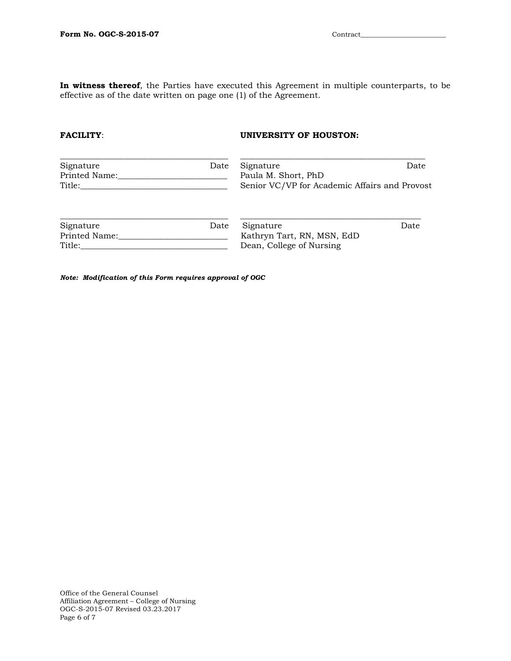**In witness thereof**, the Parties have executed this Agreement in multiple counterparts, to be effective as of the date written on page one (1) of the Agreement.

### **FACILITY:** UNIVERSITY OF HOUSTON:

| Signature<br>Printed Name:<br>Title: | Date | Signature<br>Paula M. Short, PhD<br>Senior VC/VP for Academic Affairs and Provost | Date |
|--------------------------------------|------|-----------------------------------------------------------------------------------|------|
| Signature                            | Date | Signature                                                                         | Date |
| Printed Name:                        |      | Kathryn Tart, RN, MSN, EdD                                                        |      |
| Title:                               |      | Dean, College of Nursing                                                          |      |

*Note: Modification of this Form requires approval of OGC*